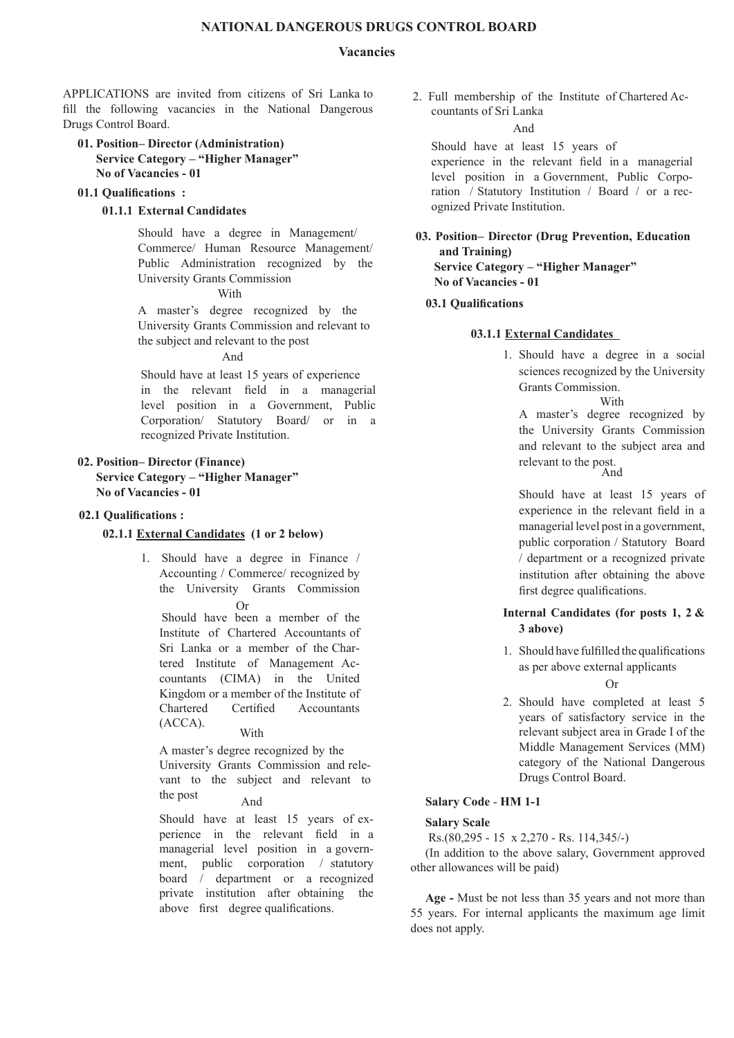## **NATIONAL DANGEROuS DRuGS CONTROL bOARD**

## **vacancies**

aPPLicatioNS are invited from citizens of Sri Lanka to fill the following vacancies in the National Dangerous Drugs Control Board.

## **01. Position– Director (Administration) Service Category – "higher manager" No of vacancies - 01**

### **01.1 Qualifications :**

## **01.1.1 External Candidates**

 Should have a degree in Management/ Commerce/ Human Resource Management/ Public Administration recognized by the University Grants commission

**With** 

A master's degree recognized by the University Grants commission and relevant to the subject and relevant to the post

## And

 Should have at least 15 years of experience in the relevant field in a managerial level position in a Government, Public corporation/ Statutory board/ or in a recognized Private Institution.

# **02. Position– Director (finance) Service Category – "higher manager" No of vacancies - 01**

#### **02.1 Qualifications :**

## **02.1.1 External Candidates (1 or 2 below)**

1. Should have a degree in finance / Accounting / Commerce/ recognized by the University Grants commission  $\Omega$ r

 Should have been a member of the Institute of Chartered Accountants of Sri Lanka or a member of the Chartered Institute of Management Accountants (CIMA) in the United Kingdom or a member of the Institute of Chartered Certified Accountants (acca). With

A master's degree recognized by the University Grants commission and relevant to the subject and relevant to

the post And

Should have at least 15 years of experience in the relevant field in a managerial level position in a government, public corporation / statutory board / department or a recognized private institution after obtaining the above first degree qualifications.

2. full membership of the institute of chartered accountants of Sri Lanka

### And

 Should have at least 15 years of experience in the relevant field in a managerial level position in a Government, Public corporation / Statutory Institution / Board / or a recognized Private Institution.

**03. Position– Director (Drug Prevention, Education and Training) Service Category – "higher manager" No of vacancies - 01**

## **03.1 Qualifications**

# **03.1.1 External Candidates**

1. Should have a degree in a social sciences recognized by the University Grants commission. **With** 

A master's degree recognized by the University Grants commission and relevant to the subject area and relevant to the post.<br>And

Should have at least 15 years of experience in the relevant field in a managerial level post in a government, public corporation / Statutory board / department or a recognized private institution after obtaining the above first degree qualifications.

# **Internal Candidates (for posts 1, 2 & 3 above)**

1. Should have fulfilled the qualifications as per above external applicants

 $Or$ 

2. Should have completed at least 5 years of satisfactory service in the relevant subject area in Grade I of the Middle Management Services (MM) category of the National Dangerous Drugs Control Board.

# **Salary Code** - **hm 1-1**

### **Salary Scale**

Rs.(80,295 - 15 x 2,270 - Rs. 114,345/-)

(In addition to the above salary, Government approved other allowances will be paid)

**Age -** Must be not less than 35 years and not more than 55 years. for internal applicants the maximum age limit does not apply.